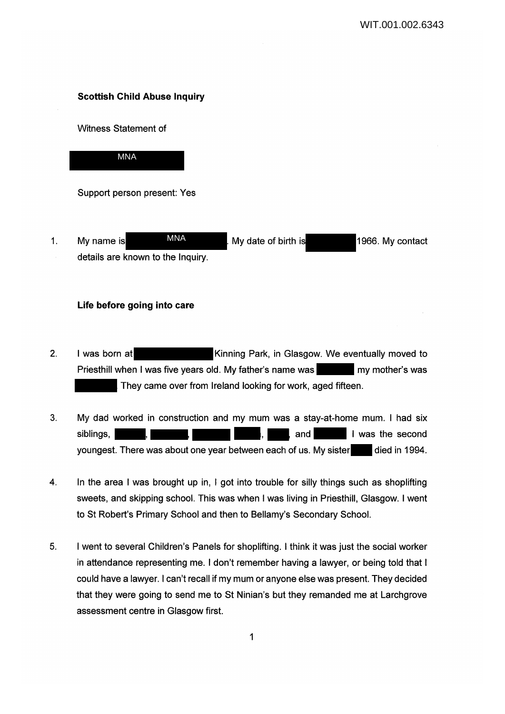## **Scottish Child Abuse Inquiry**

Witness Statement of



Support person present: Yes

1. My name is **MNA** My date of birth is 1966. My contact details are known to the Inquiry. MNA

## **Life before going into care**

- 2. I was born at **Kinning Park, in Glasgow. We eventually moved to** Priesthill when I was five years old. My father's name was my mother's was They came over from Ireland looking for work, aged fifteen.
- 3. My dad worked in construction and my mum was a stay-at-home mum. I had six siblings, , , and I was the second youngest. There was about one year between each of us. My sister died in 1994.
- 4. In the area I was brought up in, I got into trouble for silly things such as shoplifting sweets, and skipping school. This was when I was living in Priesthill, Glasgow. I went to St Robert's Primary School and then to Bellamy's Secondary School.
- 5. I went to several Children's Panels for shoplifting. I think it was just the social worker in attendance representing me. I don't remember having a lawyer, or being told that I could have a lawyer. I can't recall if my mum or anyone else was present. They decided that they were going to send me to St Ninian's but they remanded me at Larchgrove assessment centre in Glasgow first.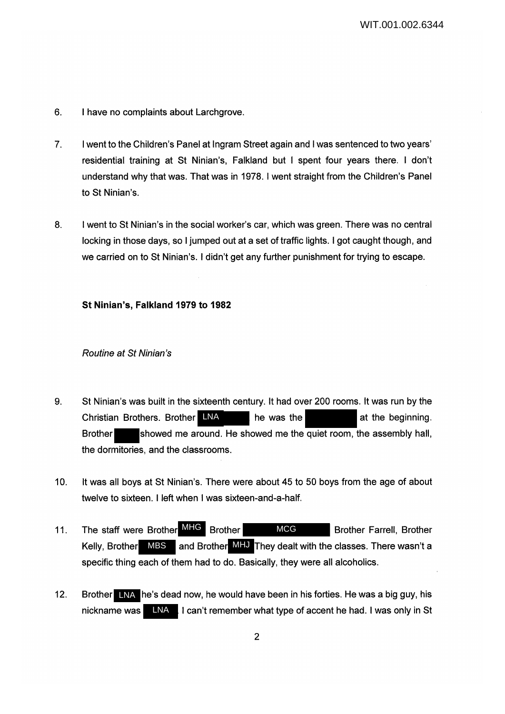- 6. I have no complaints about Larchgrove.
- 7. I went to the Children's Panel at Ingram Street again and I was sentenced to two years' residential training at St Ninian's, Falkland but I spent four years there. I don't understand why that was. That was in 1978. I went straight from the Children's Panel to St Ninian's.
- 8. I went to St Ninian's in the social worker's car, which was green. There was no central locking in those days, so I jumped out at a set of traffic lights. I got caught though, and we carried on to St Ninian's. I didn't get any further punishment for trying to escape.

#### **St Ninian's, Falkland 1979 to 1982**

#### Routine at St Ninian's

- 9. St Ninian's was built in the sixteenth century. It had over 200 rooms. It was run by the Christian Brothers. Brother LNA he was the at the beginning. Brother showed me around. He showed me the quiet room, the assembly hall, the dormitories, and the classrooms.
- 10. It was all boys at St Ninian's. There were about 45 to 50 boys from the age of about twelve to sixteen. I left when I was sixteen-and-a-half.
- 11. The staff were Brother MHG Brother MCG Brother Farrell, Brother Kelly, Brother MBS and Brother MHJ They dealt with the classes. There wasn't a specific thing each of them had to do. Basically, they were all alcoholics.
- 12. Brother LNA he's dead now, he would have been in his forties. He was a big guy, his nickname was **INA** I can't remember what type of accent he had. I was only in St LNA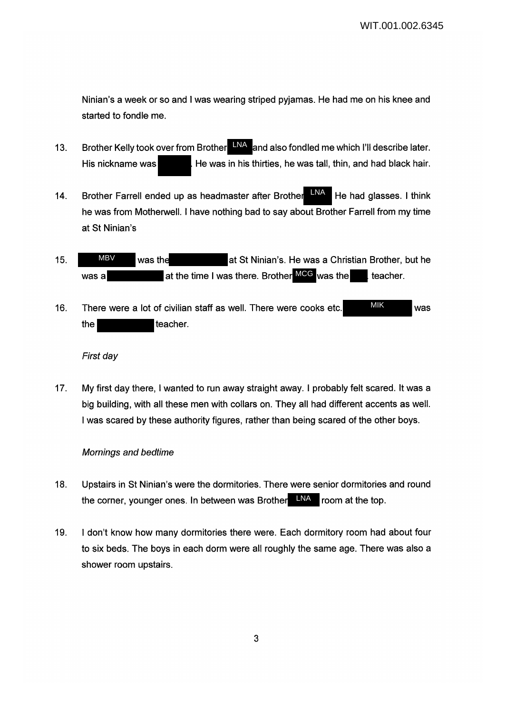Ninian's a week or so and I was wearing striped pyjamas. He had me on his knee and started to fondle me.

- 13. Brother Kelly took over from Brother **LNA** and also fondled me which I'll describe later. His nickname was **He was in his thirties, he was tall, thin, and had black hair.**
- 14. Brother Farrell ended up as headmaster after Brother  $H^{\text{MAX}}$  He had glasses. I think he was from Motherwell. I have nothing bad to say about Brother Farrell from my time at St Ninian's LNA
- 15. WHE was the at St Ninian's. He was a Christian Brother, but he was a **at the time I was there. Brother MCG** was the teacher. MBV
- 16. There were a lot of civilian staff as well. There were cooks etc. MIK MIK was the teacher. MIK

#### First day

17. My first day there, I wanted to run away straight away. I probably felt scared. It was a big building, with all these men with collars on. They all had different accents as well. I was scared by these authority figures, rather than being scared of the other boys.

#### Mornings and bedtime

- 18. Upstairs in St Ninian's were the dormitories. There were senior dormitories and round the corner, younger ones. In between was Brother LNA room at the top.
- 19. I don't know how many dormitories there were. Each dormitory room had about four to six beds. The boys in each dorm were all roughly the same age. There was also a shower room upstairs.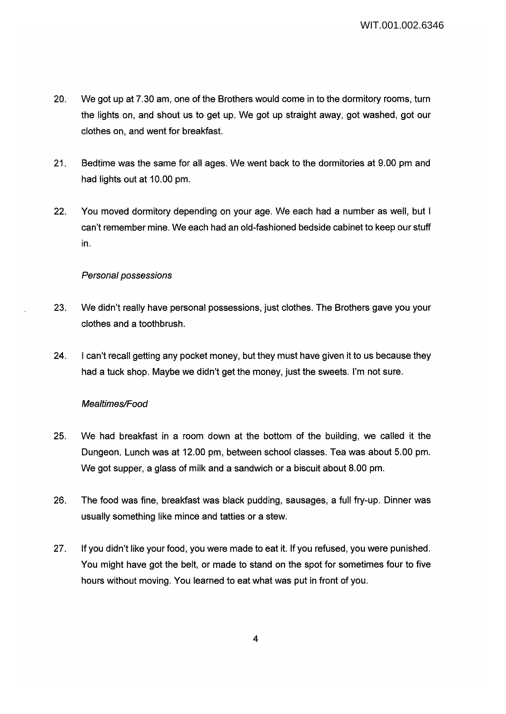- 20. We got up at 7.30 am, one of the Brothers would come in to the dormitory rooms, turn the lights on, and shout us to get up. We got up straight away, got washed, got our clothes on, and went for breakfast.
- 21. Bedtime was the same for all ages. We went back to the dormitories at 9.00 pm and had lights out at 10.00 pm.
- 22. You moved dormitory depending on your age. We each had a number as well, but I can't remember mine. We each had an old-fashioned bedside cabinet to keep our stuff in.

## Personal possessions

- 23. We didn't really have personal possessions, just clothes. The Brothers gave you your clothes and a toothbrush.
- 24. I can't recall getting any pocket money, but they must have given it to us because they had a tuck shop. Maybe we didn't get the money, just the sweets. I'm not sure.

## Mealtimes/Food

- 25. We had breakfast in a room down at the bottom of the building, we called it the Dungeon. Lunch was at 12.00 pm, between school classes. Tea was about 5.00 pm. We got supper, a glass of milk and a sandwich or a biscuit about 8.00 pm.
- 26. The food was fine, breakfast was black pudding, sausages, a full fry-up. Dinner was usually something like mince and tatties or a stew.
- 27. If you didn't like your food, you were made to eat it. If you refused, you were punished. You might have got the belt, or made to stand on the spot for sometimes four to five hours without moving. You learned to eat what was put in front of you.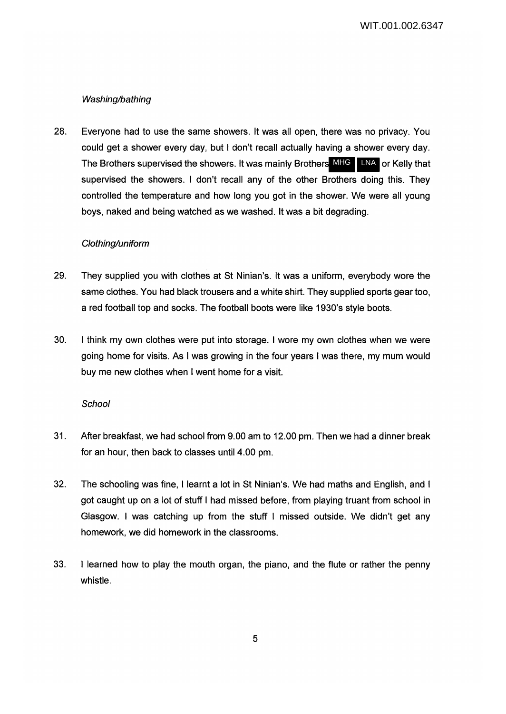# Washing/bathing

28. Everyone had to use the same showers. It was all open, there was no privacy. You could get a shower every day, but I don't recall actually having a shower every day. The Brothers supervised the showers. It was mainly Brothers MHG LINA or Kelly that supervised the showers. I don't recall any of the other Brothers doing this. They controlled the temperature and how long you got in the shower. We were all young boys, naked and being watched as we washed. It was a bit degrading.

## Clothing/uniform

- 29. They supplied you with clothes at St Ninian's. It was a uniform, everybody wore the same clothes. You had black trousers and a white shirt. They supplied sports gear too, a red football top and socks. The football boots were like 1930's style boots.
- 30. I think my own clothes were put into storage. I wore my own clothes when we were going home for visits. As I was growing in the four years I was there, my mum would buy me new clothes when I went home for a visit.

## **School**

- 31. After breakfast, we had school from 9.00 am to 12.00 pm. Then we had a dinner break for an hour, then back to classes until 4.00 pm.
- 32. The schooling was fine, I learnt a lot in St Ninian's. We had maths and English, and I got caught up on a lot of stuff I had missed before, from playing truant from school in Glasgow. I was catching up from the stuff I missed outside. We didn't get any homework, we did homework in the classrooms.
- 33. I learned how to play the mouth organ, the piano, and the flute or rather the penny whistle.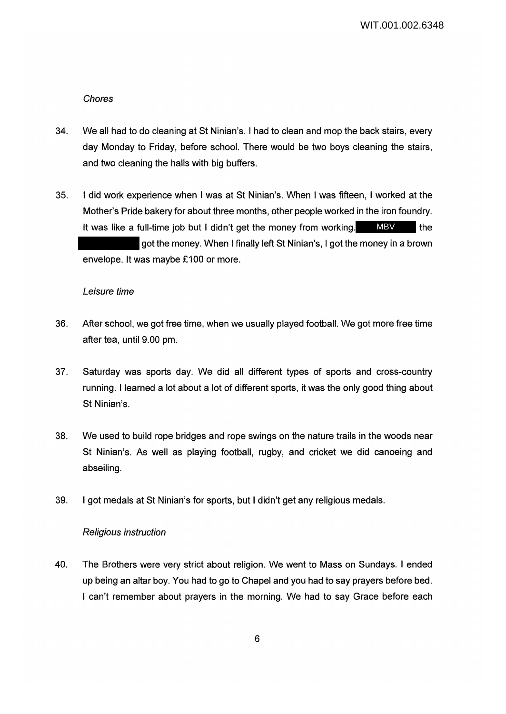### Chores

- 34. We all had to do cleaning at St Ninian's. I had to clean and mop the back stairs, every day Monday to Friday, before school. There would be two boys cleaning the stairs, and two cleaning the halls with big buffers.
- 35. I did work experience when I was at St Ninian's. When I was fifteen, I worked at the Mother's Pride bakery for about three months, other people worked in the iron foundry. It was like a full-time job but I didn't get the money from working. MBV lithe got the money. When I finally left St Ninian's, I got the money in a brown envelope. It was maybe £100 or more.

#### Leisure time

- 36. After school, we got free time, when we usually played football. We got more free time after tea, until 9.00 pm.
- 37. Saturday was sports day. We did all different types of sports and cross-country running. I learned a lot about a lot of different sports, it was the only good thing about St Ninian's.
- 38. We used to build rope bridges and rope swings on the nature trails in the woods near St Ninian's. As well as playing football, rugby, and cricket we did canoeing and abseiling.
- 39. I got medals at St Ninian's for sports, but I didn't get any religious medals.

#### Religious instruction

40. The Brothers were very strict about religion. We went to Mass on Sundays. I ended up being an altar boy. You had to go to Chapel and you had to say prayers before bed. I can't remember about prayers in the morning. We had to say Grace before each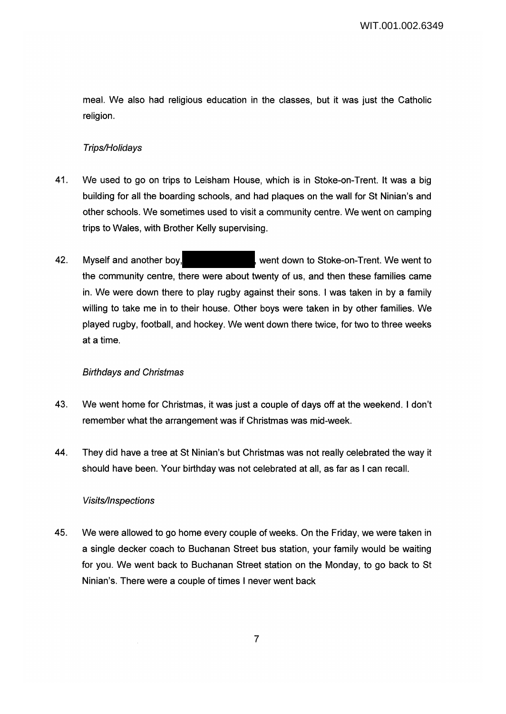meal. We also had religious education in the classes, but it was just the Catholic religion.

## Trips/Holidays

- 41. We used to go on trips to Leisham House, which is in Stoke-on-Trent. It was a big building for all the boarding schools, and had plaques on the wall for St Ninian's and other schools. We sometimes used to visit a community centre. We went on camping trips to Wales, with Brother Kelly supervising.
- 42. Myself and another boy, went down to Stoke-on-Trent. We went to the community centre, there were about twenty of us, and then these families came in. We were down there to play rugby against their sons. I was taken in by a family willing to take me in to their house. Other boys were taken in by other families. We played rugby, football, and hockey. We went down there twice, for two to three weeks at a time.

## Birthdays and Christmas

- 43. We went home for Christmas, it was just a couple of days off at the weekend. I don't remember what the arrangement was if Christmas was mid-week.
- 44. They did have a tree at St Ninian's but Christmas was not really celebrated the way it should have been. Your birthday was not celebrated at all, as far as I can recall.

## Visits/Inspections

45. We were allowed to go home every couple of weeks. On the Friday, we were taken in a single decker coach to Buchanan Street bus station, your family would be waiting for you. We went back to Buchanan Street station on the Monday, to go back to St Ninian's. There were a couple of times I never went back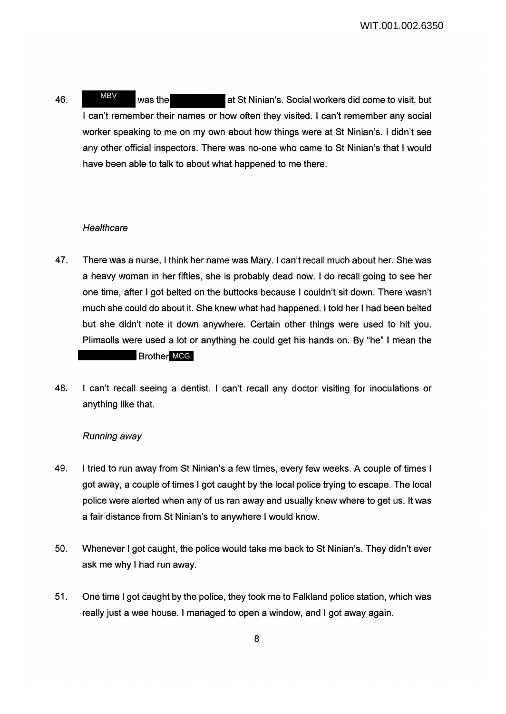46. WHEN was the at St Ninian's. Social workers did come to visit, but I can't remember their names or how often they visited. I can't remember any social worker speaking to me on my own about how things were at St Ninian's. I didn't see any other official inspectors. There was no-one who came to St Ninian's that I would have been able to talk to about what happened to me there. MBV

### **Healthcare**

- 47. There was a nurse, I think her name was Mary. I can't recall much about her. She was a heavy woman in her fifties, she is probably dead now. I do recall going to see her one time, after I got belted on the buttocks because I couldn't sit down. There wasn't much she could do about it. She knew what had happened. I told her I had been belted but she didn't note it down anywhere. Certain other things were used to hit you. Plimsolls were used a lot or anything he could get his hands on. By "he" I mean the Brother MCG
- 48. I can't recall seeing a dentist. I can't recall any doctor visiting for inoculations or anything like that.

#### Running away

- 49. I tried to run away from St Ninian's a few times, every few weeks. A couple of times I got away, a couple of times I got caught by the local police trying to escape. The local police were alerted when any of us ran away and usually knew where to get us. It was a fair distance from St Ninian's to anywhere I would know.
- 50. Whenever I got caught, the police would take me back to St Ninian's. They didn't ever ask me why I had run away.
- 51. One time I got caught by the police, they took me to Falkland police station, which was really just a wee house. I managed to open a window, and I got away again.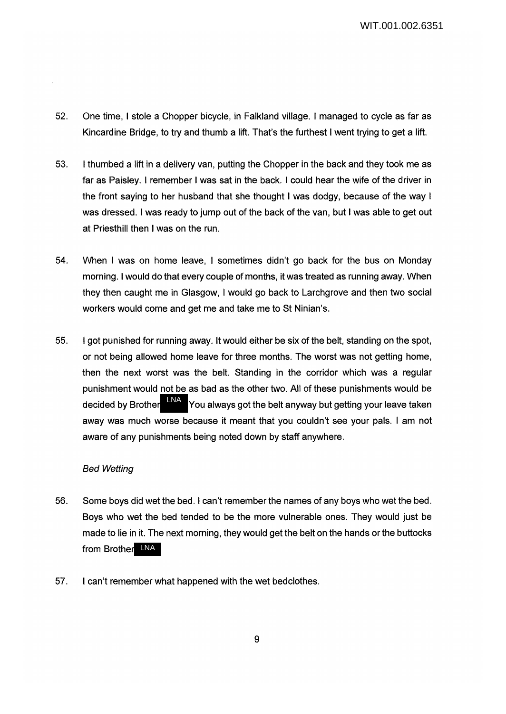- 52. One time, I stole a Chopper bicycle, in Falkland village. I managed to cycle as far as Kincardine Bridge, to try and thumb a lift. That's the furthest I went trying to get a lift.
- 53. I thumbed a lift in a delivery van, putting the Chopper in the back and they took me as far as Paisley. I remember I was sat in the back. I could hear the wife of the driver in the front saying to her husband that she thought I was dodgy, because of the way I was dressed. I was ready to jump out of the back of the van, but I was able to get out at Priesthill then I was on the run.
- 54. When I was on home leave, I sometimes didn't go back for the bus on Monday morning. I would do that every couple of months, it was treated as running away. When they then caught me in Glasgow, I would go back to Larchgrove and then two social workers would come and get me and take me to St Ninian's.
- 55. I got punished for running away. It would either be six of the belt, standing on the spot, or not being allowed home leave for three months. The worst was not getting home, then the next worst was the belt. Standing in the corridor which was a regular punishment would not be as bad as the other two. All of these punishments would be decided by Brother LNA You always got the belt anyway but getting your leave taken away was much worse because it meant that you couldn't see your pals. I am not aware of any punishments being noted down by staff anywhere.

#### Bed Wetting

- 56. Some boys did wet the bed. I can't remember the names of any boys who wet the bed. Boys who wet the bed tended to be the more vulnerable ones. They would just be made to lie in it. The next morning, they would get the belt on the hands or the buttocks from Brother LNA
- 57. I can't remember what happened with the wet bedclothes.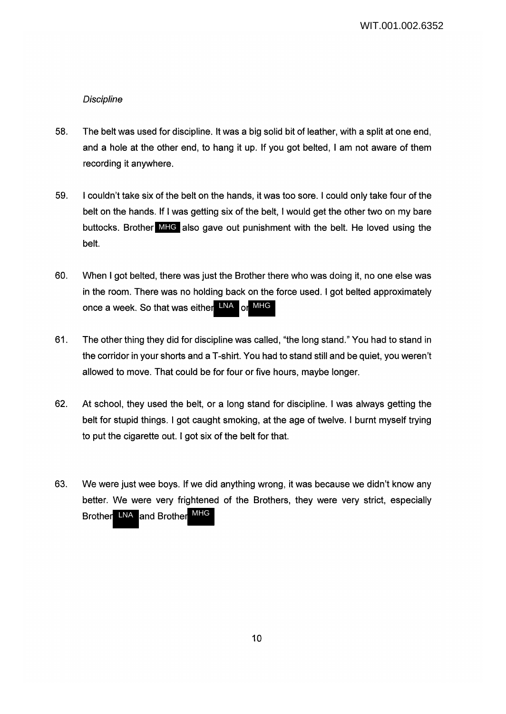# **Discipline**

- 58. The belt was used for discipline. It was a big solid bit of leather, with a split at one end, and a hole at the other end, to hang it up. If you got belted, I am not aware of them recording it anywhere.
- 59. I couldn't take six of the belt on the hands, it was too sore. I could only take four of the belt on the hands. If I was getting six of the belt, I would get the other two on my bare buttocks. Brother MHG also gave out punishment with the belt. He loved using the belt.
- 60. When I got belted, there was just the Brother there who was doing it, no one else was in the room. There was no holding back on the force used. I got belted approximately once a week. So that was either LNA or MHG
- 61. The other thing they did for discipline was called, "the long stand." You had to stand in the corridor in your shorts and a T-shirt. You had to stand still and be quiet, you weren't allowed to move. That could be for four or five hours, maybe longer.
- 62. At school, they used the belt, or a long stand for discipline. I was always getting the belt for stupid things. I got caught smoking, at the age of twelve. I burnt myself trying to put the cigarette out. I got six of the belt for that.
- 63. We were just wee boys. If we did anything wrong, it was because we didn't know any better. We were very frightened of the Brothers, they were very strict, especially Brother LNA and Brother MHG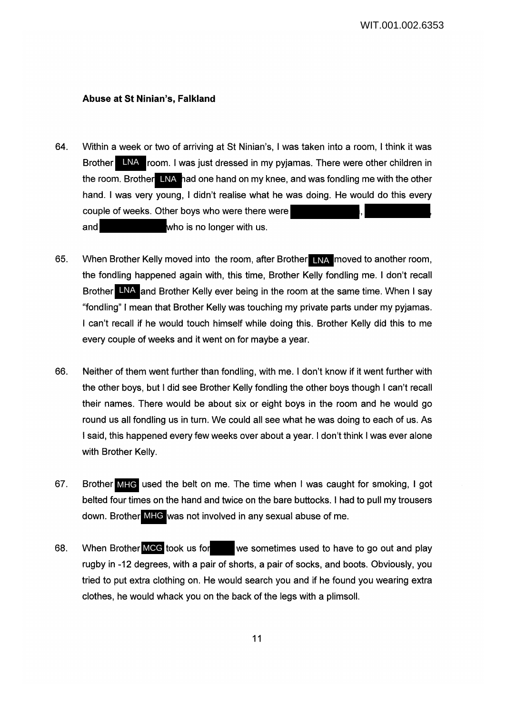#### **Abuse at St Ninian's, Falkland**

- 64. Within a week or two of arriving at St Ninian's, I was taken into a room, I think it was Brother LNA room. I was just dressed in my pyjamas. There were other children in the room. Brother LNA had one hand on my knee, and was fondling me with the other hand. I was very young, I didn't realise what he was doing. He would do this every couple of weeks. Other boys who were there were and **who** is no longer with us.
- 65. When Brother Kelly moved into the room, after Brother LNA moved to another room, the fondling happened again with, this time, Brother Kelly fondling me. I don't recall Brother LNA and Brother Kelly ever being in the room at the same time. When I say "fondling" I mean that Brother Kelly was touching my private parts under my pyjamas. I can't recall if he would touch himself while doing this. Brother Kelly did this to me every couple of weeks and it went on for maybe a year.
- 66. Neither of them went further than fondling, with me. I don't know if it went further with the other boys, but I did see Brother Kelly fondling the other boys though I can't recall their names. There would be about six or eight boys in the room and he would go round us all fondling us in turn. We could all see what he was doing to each of us. As I said, this happened every few weeks over about a year. I don't think I was ever alone with Brother Kelly.
- 67. Brother MHC used the belt on me. The time when I was caught for smoking, I got belted four times on the hand and twice on the bare buttocks. I had to pull my trousers down. Brother MHG was not involved in any sexual abuse of me.
- 68. When Brother MCG took us for we sometimes used to have to go out and play rugby in -12 degrees, with a pair of shorts, a pair of socks, and boots. Obviously, you tried to put extra clothing on. He would search you and if he found you wearing extra clothes, he would whack you on the back of the legs with a plimsoll.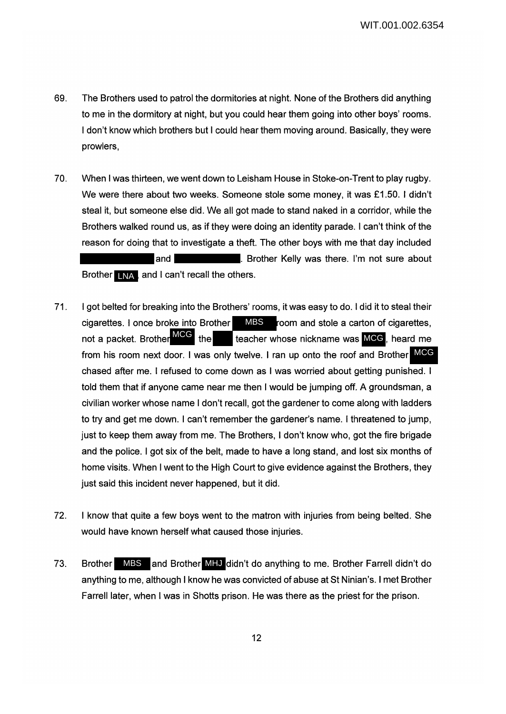- 69. The Brothers used to patrol the dormitories at night. None of the Brothers did anything to me in the dormitory at night, but you could hear them going into other boys' rooms. I don't know which brothers but I could hear them moving around. Basically, they were prowlers,
- 70. When I was thirteen, we went down to Leisham House in Stoke-on-Trent to play rugby. We were there about two weeks. Someone stole some money, it was £1.50. I didn't steal it, but someone else did. We all got made to stand naked in a corridor, while the Brothers walked round us, as if they were doing an identity parade. I can't think of the reason for doing that to investigate a theft. The other boys with me that day included and **Exercise 2.** Brother Kelly was there. I'm not sure about Brother LNA, and I can't recall the others.
- 71. I got belted for breaking into the Brothers' rooms, it was easy to do. I did it to steal their cigarettes. I once broke into Brother **MBS** room and stole a carton of cigarettes, not a packet. Brother the teacher whose nickname was MCG, heard me from his room next door. I was only twelve. I ran up onto the roof and Brother MCG chased after me. I refused to come down as I was worried about getting punished. I told them that if anyone came near me then I would be jumping off. A groundsman, a civilian worker whose name I don't recall, got the gardener to come along with ladders to try and get me down. I can't remember the gardener's name. I threatened to jump, just to keep them away from me. The Brothers, I don't know who, got the fire brigade and the police. I got six of the belt, made to have a long stand, and lost six months of home visits. When I went to the High Court to give evidence against the Brothers, they just said this incident never happened, but it did. not a packet. Brother MCG the
- 72. I know that quite a few boys went to the matron with injuries from being belted. She would have known herself what caused those injuries.
- 73. Brother MBS and Brother MHJ didn't do anything to me. Brother Farrell didn't do anything to me, although I know he was convicted of abuse at St Ninian's. I met Brother Farrell later, when I was in Shotts prison. He was there as the priest for the prison.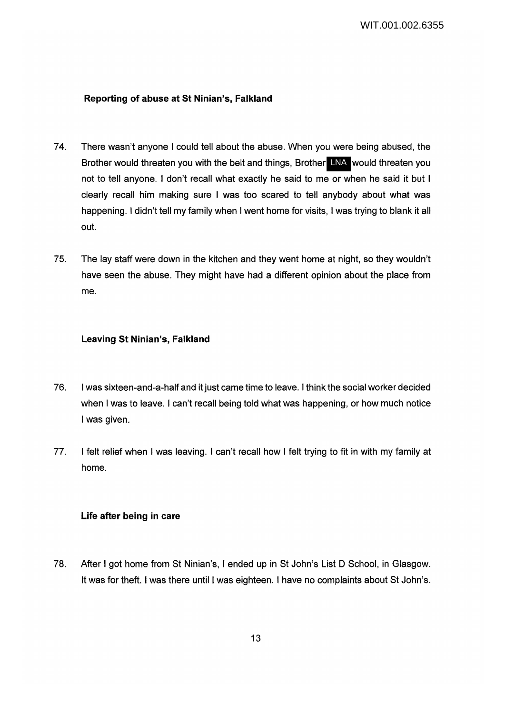## **Reporting of abuse at St Ninian's, Falkland**

- 74. There wasn't anyone I could tell about the abuse. When you were being abused, the Brother would threaten you with the belt and things, Brother LNA would threaten you not to tell anyone. I don't recall what exactly he said to me or when he said it but I clearly recall him making sure I was too scared to tell anybody about what was happening. I didn't tell my family when I went home for visits, I was trying to blank it all out.
- 75. The lay staff were down in the kitchen and they went home at night, so they wouldn't have seen the abuse. They might have had a different opinion about the place from me.

## **Leaving St Ninian's, Falkland**

- 76. I was sixteen-and-a-half and it just came time to leave. I think the social worker decided when I was to leave. I can't recall being told what was happening, or how much notice I was given.
- 77. I felt relief when I was leaving. I can't recall how I felt trying to fit in with my family at home.

# **Life after being in care**

78. After I got home from St Ninian's, I ended up in St John's List D School, in Glasgow. It was for theft. I was there until I was eighteen. I have no complaints about St John's.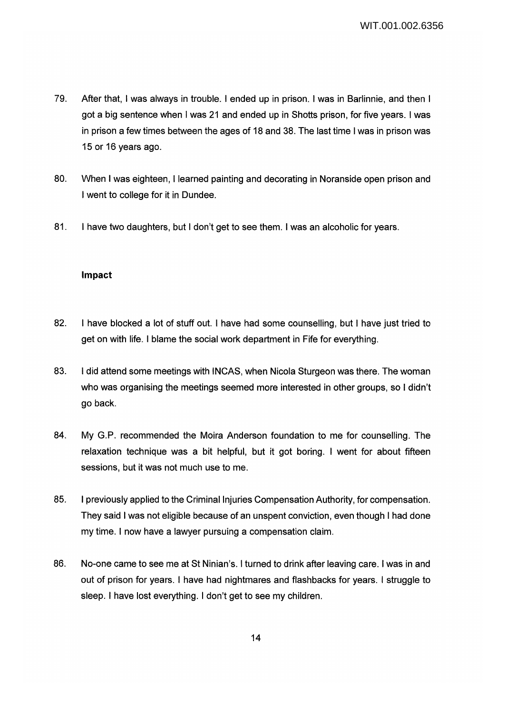- 79. After that, I was always in trouble. I ended up in prison. I was in Barlinnie, and then I got a big sentence when I was 21 and ended up in Shotts prison, for five years. I was in prison a few times between the ages of 18 and 38. The last time I was in prison was 15 or 16 years ago.
- 80. When I was eighteen, I learned painting and decorating in Noranside open prison and I went to college for it in Dundee.
- 81. I have two daughters, but I don't get to see them. I was an alcoholic for years.

### **Impact**

- 82. I have blocked a lot of stuff out. I have had some counselling, but I have just tried to get on with life. I blame the social work department in Fife for everything.
- 83. I did attend some meetings with INCAS, when Nicola Sturgeon was there. The woman who was organising the meetings seemed more interested in other groups, so I didn't go back.
- 84. My G.P. recommended the Moira Anderson foundation to me for counselling. The relaxation technique was a bit helpful, but it got boring. I went for about fifteen sessions, but it was not much use to me.
- 85. I previously applied to the Criminal Injuries Compensation Authority, for compensation. They said I was not eligible because of an unspent conviction, even though I had done my time. I now have a lawyer pursuing a compensation claim.
- 86. No-one came to see me at St Ninian's. I turned to drink after leaving care. I was in and out of prison for years. I have had nightmares and flashbacks for years. I struggle to sleep. I have lost everything. I don't get to see my children.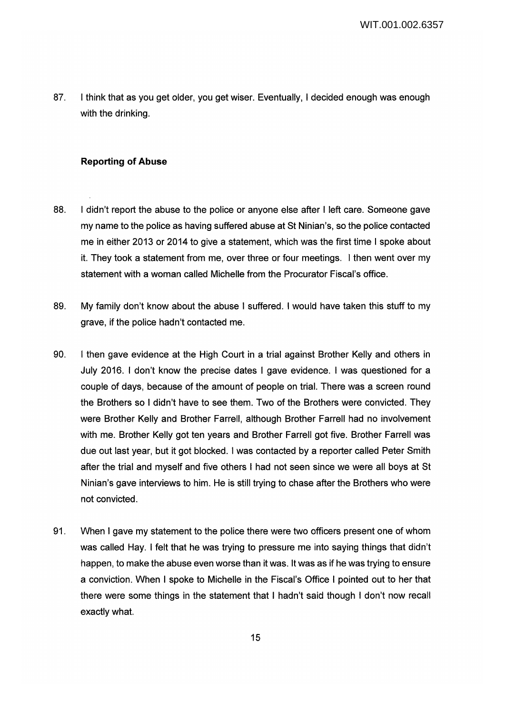87. I think that as you get older, you get wiser. Eventually, I decided enough was enough with the drinking.

### **Reporting of Abuse**

- 88. I didn't report the abuse to the police or anyone else after I left care. Someone gave my name to the police as having suffered abuse at St Ninian's, so the police contacted me in either 2013 or 2014 to give a statement, which was the first time I spoke about it. They took a statement from me, over three or four meetings. I then went over my statement with a woman called Michelle from the Procurator Fiscal's office.
- 89. My family don't know about the abuse I suffered. I would have taken this stuff to my grave, if the police hadn't contacted me.
- 90. I then gave evidence at the High Court in a trial against Brother Kelly and others in July 2016. I don't know the precise dates I gave evidence. I was questioned for a couple of days, because of the amount of people on trial. There was a screen round the Brothers so I didn't have to see them. Two of the Brothers were convicted. They were Brother Kelly and Brother Farrell, although Brother Farrell had no involvement with me. Brother Kelly got ten years and Brother Farrell got five. Brother Farrell was due out last year, but it got blocked. I was contacted by a reporter called Peter Smith after the trial and myself and five others I had not seen since we were all boys at St Ninian's gave interviews to him. He is still trying to chase after the Brothers who were not convicted.
- 91. When I gave my statement to the police there were two officers present one of whom was called Hay. I felt that he was trying to pressure me into saying things that didn't happen, to make the abuse even worse than it was. It was as if he was trying to ensure a conviction. When I spoke to Michelle in the Fiscal's Office I pointed out to her that there were some things in the statement that I hadn't said though I don't now recall exactly what.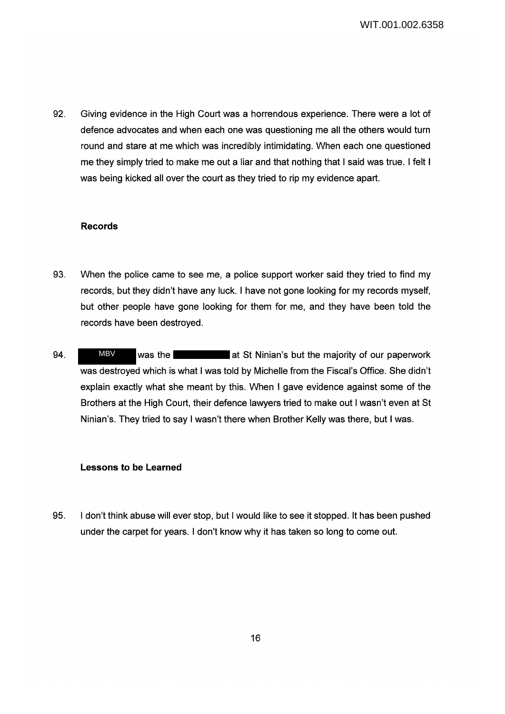WIT.001.002.6358

92. Giving evidence in the High Court was a horrendous experience. There were a lot of defence advocates and when each one was questioning me all the others would turn round and stare at me which was incredibly intimidating. When each one questioned me they simply tried to make me out a liar and that nothing that I said was true. I felt I was being kicked all over the court as they tried to rip my evidence apart.

#### **Records**

- 93. When the police came to see me, a police support worker said they tried to find my records, but they didn't have any luck. I have not gone looking for my records myself, but other people have gone looking for them for me, and they have been told the records have been destroyed.
- 94. WEV was the **at St Ninian's but the majority of our paperwork** was destroyed which is what I was told by Michelle from the Fiscal's Office. She didn't explain exactly what she meant by this. When I gave evidence against some of the Brothers at the High Court, their defence lawyers tried to make out I wasn't even at St Ninian's. They tried to say I wasn't there when Brother Kelly was there, but I was. MBV

#### **Lessons to be Learned**

95. I don't think abuse will ever stop, but I would like to see it stopped. It has been pushed under the carpet for years. I don't know why it has taken so long to come out.